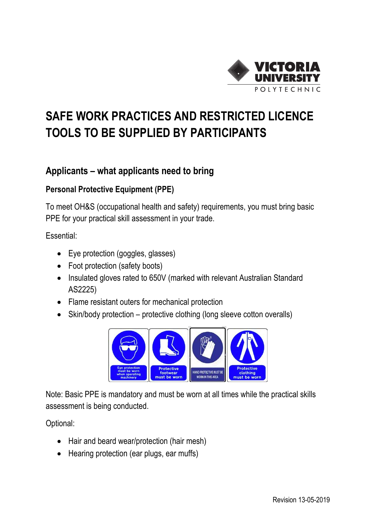

## **SAFE WORK PRACTICES AND RESTRICTED LICENCE TOOLS TO BE SUPPLIED BY PARTICIPANTS**

## **Applicants – what applicants need to bring**

## **Personal Protective Equipment (PPE)**

To meet OH&S (occupational health and safety) requirements, you must bring basic PPE for your practical skill assessment in your trade.

Essential:

- Eye protection (goggles, glasses)
- Foot protection (safety boots)
- Insulated gloves rated to 650V (marked with relevant Australian Standard AS2225)
- Flame resistant outers for mechanical protection
- Skin/body protection protective clothing (long sleeve cotton overalls)



Note: Basic PPE is mandatory and must be worn at all times while the practical skills assessment is being conducted.

Optional:

- Hair and beard wear/protection (hair mesh)
- Hearing protection (ear plugs, ear muffs)